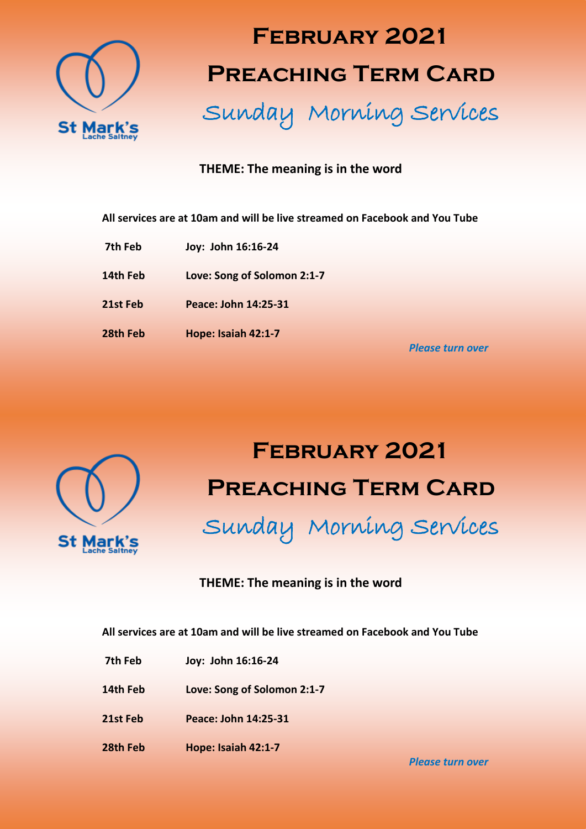

# **February 2021 Preaching Term Card**

Sunday Morning Services

#### **THEME: The meaning is in the word**

**All services are at 10am and will be live streamed on Facebook and You Tube**

- **7th Feb Joy: John 16:16-24**
- **14th Feb Love: Song of Solomon 2:1-7**
- **21st Feb Peace: John 14:25-31**
- **28th Feb Hope: Isaiah 42:1-7**

*Please turn over*



## **February 2021 Preaching Term Card** Sunday Morning Services

### **THEME: The meaning is in the word**

**All services are at 10am and will be live streamed on Facebook and You Tube**

- **7th Feb Joy: John 16:16-24**
- **14th Feb Love: Song of Solomon 2:1-7**
- **21st Feb Peace: John 14:25-31**
- **28th Feb Hope: Isaiah 42:1-7**

*Please turn over*